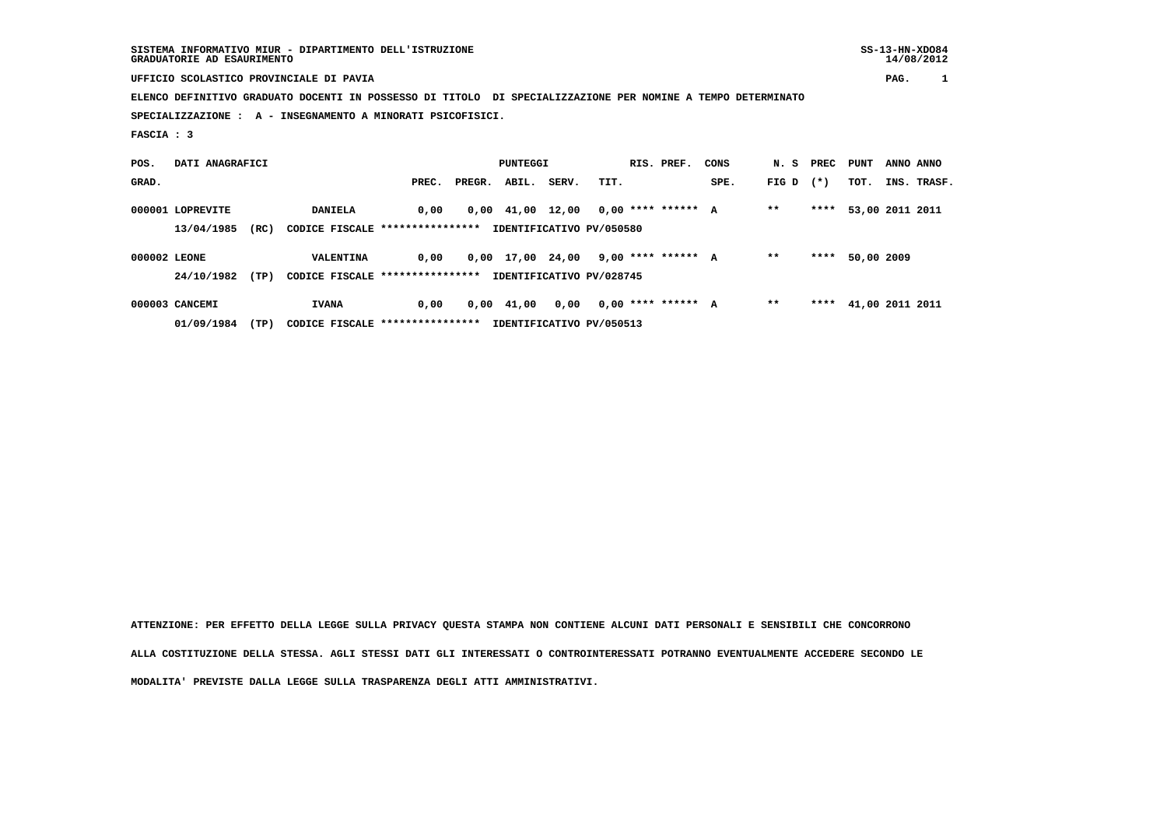**UFFICIO SCOLASTICO PROVINCIALE DI PAVIA PAG. 1**

 **ELENCO DEFINITIVO GRADUATO DOCENTI IN POSSESSO DI TITOLO DI SPECIALIZZAZIONE PER NOMINE A TEMPO DETERMINATO SPECIALIZZAZIONE : A - INSEGNAMENTO A MINORATI PSICOFISICI.**

 **FASCIA : 3**

| POS.         | DATI ANAGRAFICI  |      |                                  |       |        | PUNTEGGI                       |       |                          | RIS. PREF. | CONS |       | N. S PREC PUNT |                 | ANNO ANNO |             |
|--------------|------------------|------|----------------------------------|-------|--------|--------------------------------|-------|--------------------------|------------|------|-------|----------------|-----------------|-----------|-------------|
| GRAD.        |                  |      |                                  | PREC. | PREGR. | ABIL.                          | SERV. | TIT.                     |            | SPE. | FIG D | $(* )$         | тот.            |           | INS. TRASF. |
|              | 000001 LOPREVITE |      | <b>DANIELA</b>                   | 0.00  |        | $0,00 \quad 41,00 \quad 12,00$ |       | $0,00$ **** ****** A     |            |      | $* *$ | ****           | 53,00 2011 2011 |           |             |
|              | 13/04/1985       | (RC) | CODICE FISCALE ****************  |       |        |                                |       | IDENTIFICATIVO PV/050580 |            |      |       |                |                 |           |             |
| 000002 LEONE |                  |      | <b>VALENTINA</b>                 | 0.00  |        | 0,00 17,00 24,00               |       | 9,00 **** ****** A       |            |      | $* *$ | ****           | 50,00 2009      |           |             |
|              | 24/10/1982       | (TP) | CODICE FISCALE ****************  |       |        |                                |       | IDENTIFICATIVO PV/028745 |            |      |       |                |                 |           |             |
|              | 000003 CANCEMI   |      | <b>IVANA</b>                     | 0.00  |        | 0,00 41,00                     | 0,00  | $0.00$ **** ****** A     |            |      | $* *$ | ****           | 41,00 2011 2011 |           |             |
|              | 01/09/1984       | (TP) | CODICE FISCALE ***************** |       |        |                                |       | IDENTIFICATIVO PV/050513 |            |      |       |                |                 |           |             |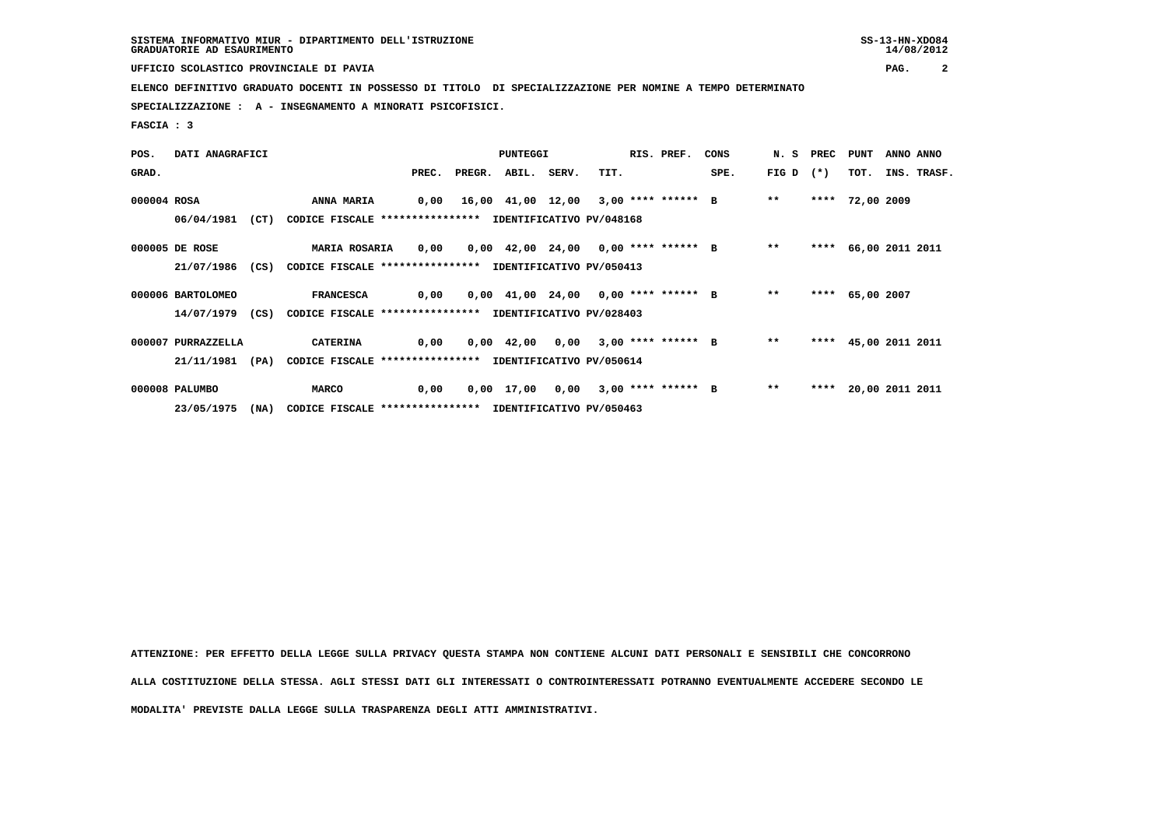**UFFICIO SCOLASTICO PROVINCIALE DI PAVIA PAG. 2**

 **ELENCO DEFINITIVO GRADUATO DOCENTI IN POSSESSO DI TITOLO DI SPECIALIZZAZIONE PER NOMINE A TEMPO DETERMINATO**

 **SPECIALIZZAZIONE : A - INSEGNAMENTO A MINORATI PSICOFISICI.**

 **FASCIA : 3**

| POS.        | DATI ANAGRAFICI    |      |                                                          |      |                          | <b>PUNTEGGI</b> |                                      | RIS. PREF. | CONS |             | N. S PREC PUNT |                 | ANNO ANNO            |  |
|-------------|--------------------|------|----------------------------------------------------------|------|--------------------------|-----------------|--------------------------------------|------------|------|-------------|----------------|-----------------|----------------------|--|
| GRAD.       |                    |      |                                                          |      | PREC. PREGR. ABIL. SERV. |                 | TIT.                                 |            | SPE. | FIG D $(*)$ |                | TOT.            | INS. TRASF.          |  |
| 000004 ROSA |                    |      | <b>ANNA MARIA</b>                                        | 0,00 |                          |                 | 16,00 41,00 12,00 3,00 **** ****** B |            |      | $* *$       |                | **** 72,00 2009 |                      |  |
|             | 06/04/1981         | (CT) | CODICE FISCALE **************** IDENTIFICATIVO PV/048168 |      |                          |                 |                                      |            |      |             |                |                 |                      |  |
|             | 000005 DE ROSE     |      | <b>MARIA ROSARIA</b>                                     | 0,00 |                          |                 | 0,00 42,00 24,00 0,00 **** ****** B  |            |      | $* *$       |                |                 | **** 66,00 2011 2011 |  |
|             | 21/07/1986 (CS)    |      | CODICE FISCALE **************** IDENTIFICATIVO PV/050413 |      |                          |                 |                                      |            |      |             |                |                 |                      |  |
|             | 000006 BARTOLOMEO  |      | <b>FRANCESCA</b>                                         | 0,00 |                          |                 | 0,00 41,00 24,00 0,00 **** ****** B  |            |      | $***$       |                | **** 65,00 2007 |                      |  |
|             | 14/07/1979 (CS)    |      | CODICE FISCALE **************** IDENTIFICATIVO PV/028403 |      |                          |                 |                                      |            |      |             |                |                 |                      |  |
|             | 000007 PURRAZZELLA |      | <b>CATERINA</b>                                          | 0,00 |                          |                 | $0,00$ 42,00 0,00 3,00 **** ****** B |            |      | $***$       |                |                 | **** 45,00 2011 2011 |  |
|             | 21/11/1981         | (PA) | CODICE FISCALE **************** IDENTIFICATIVO PV/050614 |      |                          |                 |                                      |            |      |             |                |                 |                      |  |
|             | 000008 PALUMBO     |      | <b>MARCO</b>                                             | 0,00 |                          |                 | $0,00$ 17,00 0,00 3,00 **** ****** B |            |      | $***$       |                |                 | **** 20,00 2011 2011 |  |
|             | 23/05/1975         | (NA) | CODICE FISCALE **************** IDENTIFICATIVO PV/050463 |      |                          |                 |                                      |            |      |             |                |                 |                      |  |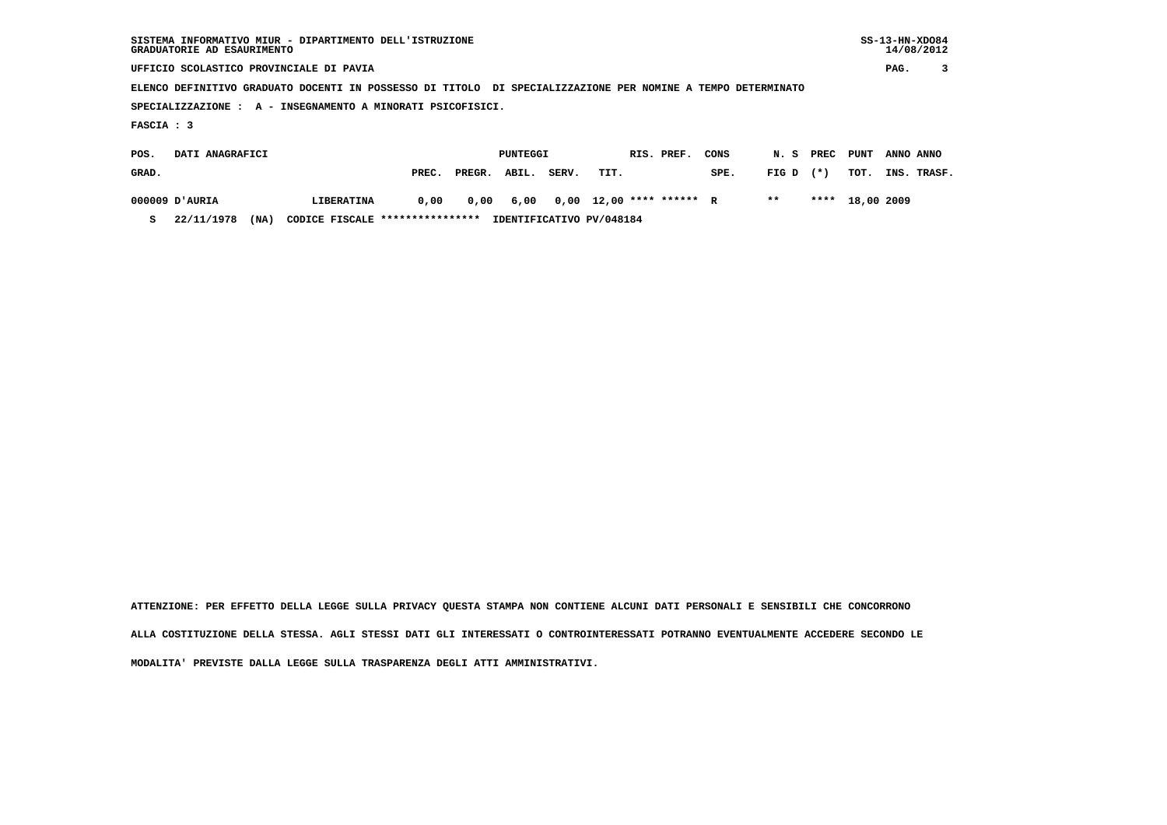| SISTEMA INFORMATIVO MIUR - DIPARTIMENTO DELL'ISTRUZIONE<br>GRADUATORIE AD ESAURIMENTO                       |                   |       |        |          |       |      |  |                          |      |       |       |            |           | $SS-13-HN-XDO84$<br>14/08/2012 |
|-------------------------------------------------------------------------------------------------------------|-------------------|-------|--------|----------|-------|------|--|--------------------------|------|-------|-------|------------|-----------|--------------------------------|
| UFFICIO SCOLASTICO PROVINCIALE DI PAVIA                                                                     |                   |       |        |          |       |      |  |                          |      |       |       |            | PAG.      |                                |
| ELENCO DEFINITIVO GRADUATO DOCENTI IN POSSESSO DI TITOLO DI SPECIALIZZAZIONE PER NOMINE A TEMPO DETERMINATO |                   |       |        |          |       |      |  |                          |      |       |       |            |           |                                |
| SPECIALIZZAZIONE : A - INSEGNAMENTO A MINORATI PSICOFISICI.                                                 |                   |       |        |          |       |      |  |                          |      |       |       |            |           |                                |
| FASCIA : 3                                                                                                  |                   |       |        |          |       |      |  |                          |      |       |       |            |           |                                |
| DATI ANAGRAFICI<br>POS.                                                                                     |                   |       |        | PUNTEGGI |       |      |  | RIS. PREF.               | CONS | N.S   | PREC  | PUNT       | ANNO ANNO |                                |
| GRAD.                                                                                                       |                   | PREC. | PREGR. | ABIL.    | SERV. | TIT. |  |                          | SPE. | FIG D | $(*)$ | TOT.       | INS.      | TRASF.                         |
| AURIA וD'AURIA                                                                                              | <b>LIBERATINA</b> | 0,00  | 0,00   | 6,00     |       |      |  | $0,00$ 12,00 **** ****** | R    | $***$ | ****  | 18,00 2009 |           |                                |

 **S 22/11/1978 (NA) CODICE FISCALE \*\*\*\*\*\*\*\*\*\*\*\*\*\*\*\* IDENTIFICATIVO PV/048184**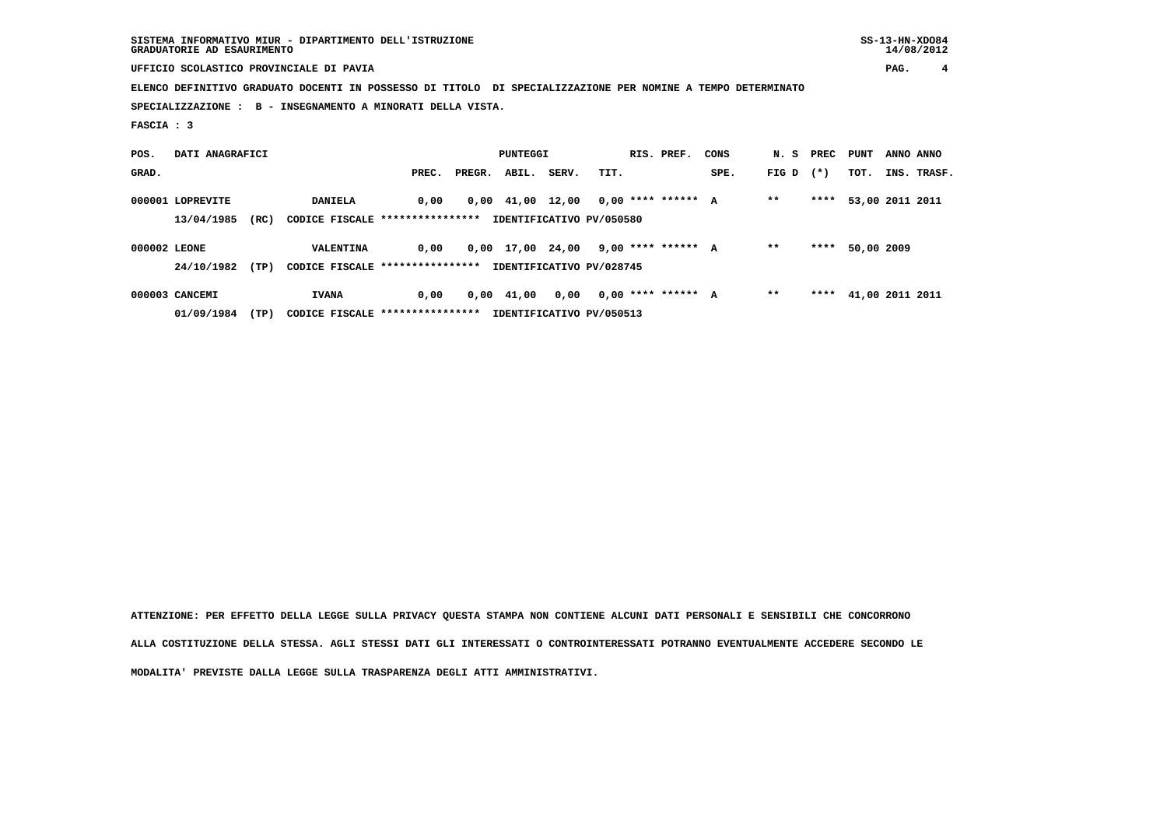| SISTEMA INFORMATIVO MIUR - DIPARTIMENTO DELL'ISTRUZIONE | $SS-13-HN-XDO84$ |
|---------------------------------------------------------|------------------|
| GRADUATORIE AD ESAURIMENTO                              | 14/08/2012       |

 **UFFICIO SCOLASTICO PROVINCIALE DI PAVIA PAG. 4**

 **ELENCO DEFINITIVO GRADUATO DOCENTI IN POSSESSO DI TITOLO DI SPECIALIZZAZIONE PER NOMINE A TEMPO DETERMINATO**

 **SPECIALIZZAZIONE : B - INSEGNAMENTO A MINORATI DELLA VISTA.**

 **FASCIA : 3**

| POS.         | DATI ANAGRAFICI  |      |                                  |       | PUNTEGGI         |       |                          | RIS. PREF. | CONS |       | N. S PREC PUNT |                 | ANNO ANNO |             |
|--------------|------------------|------|----------------------------------|-------|------------------|-------|--------------------------|------------|------|-------|----------------|-----------------|-----------|-------------|
| GRAD.        |                  |      |                                  | PREC. | PREGR. ABIL.     | SERV. | TIT.                     |            | SPE. | FIG D | $(*)$          | TOT.            |           | INS. TRASF. |
|              | 000001 LOPREVITE |      | <b>DANIELA</b>                   | 0.00  | 0,00 41,00 12,00 |       | $0.00$ **** ****** A     |            |      | $* *$ | ****           | 53,00 2011 2011 |           |             |
|              | 13/04/1985       | (RC) | CODICE FISCALE ****************  |       |                  |       | IDENTIFICATIVO PV/050580 |            |      |       |                |                 |           |             |
| 000002 LEONE |                  |      | <b>VALENTINA</b>                 | 0.00  | 0,00 17,00 24,00 |       | 9,00 **** ****** A       |            |      | $* *$ | ****           | 50,00 2009      |           |             |
|              | 24/10/1982       | (TP) | CODICE FISCALE ****************  |       |                  |       | IDENTIFICATIVO PV/028745 |            |      |       |                |                 |           |             |
|              | 000003 CANCEMI   |      | <b>IVANA</b>                     | 0.00  | 0,00 41,00       | 0,00  | $0.00$ **** ****** A     |            |      | $* *$ | ****           | 41,00 2011 2011 |           |             |
|              | 01/09/1984       | (TP) | CODICE FISCALE ***************** |       |                  |       | IDENTIFICATIVO PV/050513 |            |      |       |                |                 |           |             |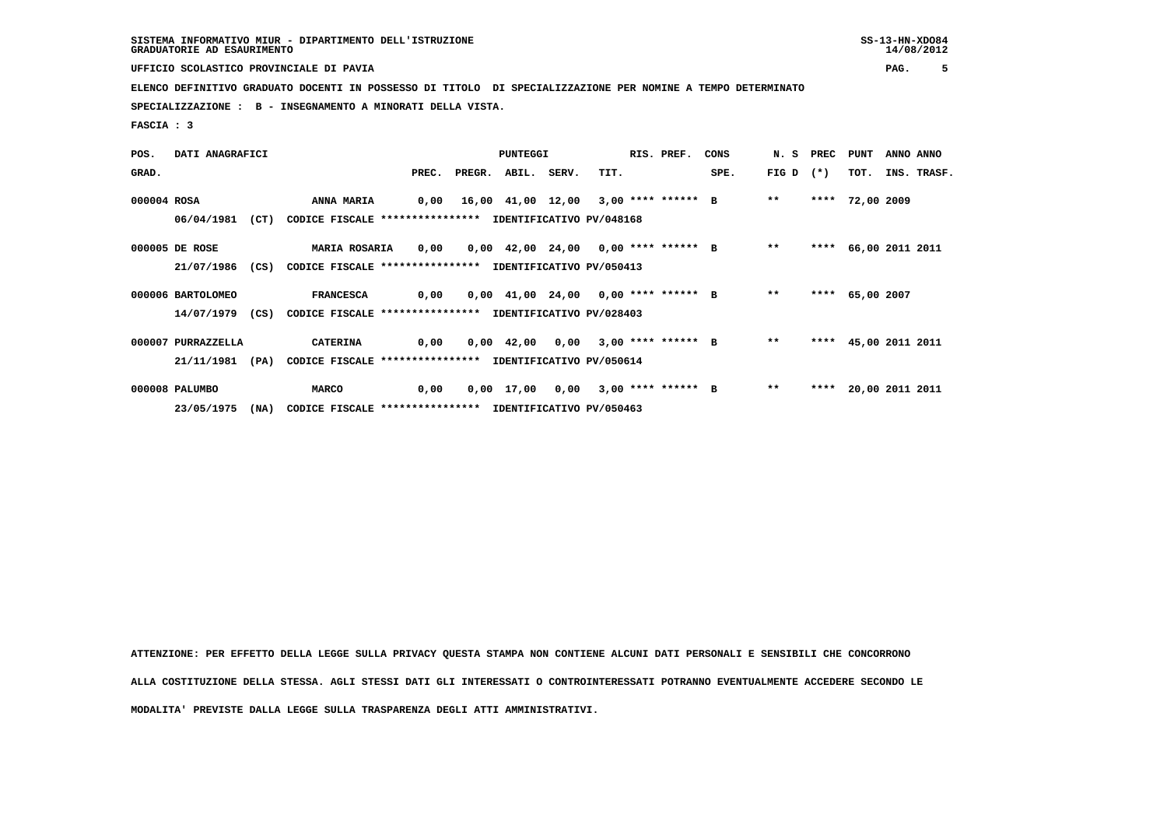**UFFICIO SCOLASTICO PROVINCIALE DI PAVIA PAG. 5**

 **ELENCO DEFINITIVO GRADUATO DOCENTI IN POSSESSO DI TITOLO DI SPECIALIZZAZIONE PER NOMINE A TEMPO DETERMINATO**

 **SPECIALIZZAZIONE : B - INSEGNAMENTO A MINORATI DELLA VISTA.**

 **FASCIA : 3**

| POS.        | DATI ANAGRAFICI    |      |                                                          |       |              | PUNTEGGI |       |                                      | RIS. PREF. | CONS |             | N. S PREC PUNT |                      | ANNO ANNO |             |
|-------------|--------------------|------|----------------------------------------------------------|-------|--------------|----------|-------|--------------------------------------|------------|------|-------------|----------------|----------------------|-----------|-------------|
| GRAD.       |                    |      |                                                          | PREC. | PREGR. ABIL. |          | SERV. | TIT.                                 |            | SPE. | FIG D $(*)$ |                | тот.                 |           | INS. TRASF. |
| 000004 ROSA |                    |      | <b>ANNA MARIA</b>                                        | 0,00  |              |          |       | 16,00 41,00 12,00 3,00 **** ****** B |            |      | $* *$       |                | **** 72,00 2009      |           |             |
|             | 06/04/1981         | (CT) | CODICE FISCALE **************** IDENTIFICATIVO PV/048168 |       |              |          |       |                                      |            |      |             |                |                      |           |             |
|             | 000005 DE ROSE     |      | <b>MARIA ROSARIA</b>                                     | 0,00  |              |          |       | 0,00 42,00 24,00 0,00 **** ****** B  |            |      | $***$       |                | **** 66,00 2011 2011 |           |             |
|             | 21/07/1986 (CS)    |      | CODICE FISCALE **************** IDENTIFICATIVO PV/050413 |       |              |          |       |                                      |            |      |             |                |                      |           |             |
|             | 000006 BARTOLOMEO  |      | <b>FRANCESCA</b>                                         | 0,00  |              |          |       | 0,00 41,00 24,00 0,00 **** ****** B  |            |      | $* *$       |                | **** 65,00 2007      |           |             |
|             | 14/07/1979 (CS)    |      | CODICE FISCALE **************** IDENTIFICATIVO PV/028403 |       |              |          |       |                                      |            |      |             |                |                      |           |             |
|             | 000007 PURRAZZELLA |      | <b>CATERINA</b>                                          | 0,00  |              |          |       | $0,00$ 42,00 0,00 3,00 **** ****** B |            |      | $* *$       |                | **** 45,00 2011 2011 |           |             |
|             | 21/11/1981         | (PA) | CODICE FISCALE **************** IDENTIFICATIVO PV/050614 |       |              |          |       |                                      |            |      |             |                |                      |           |             |
|             | 000008 PALUMBO     |      | <b>MARCO</b>                                             | 0,00  |              |          |       | $0,00$ 17,00 0,00 3,00 **** ****** B |            |      | $**$        |                | **** 20,00 2011 2011 |           |             |
|             | 23/05/1975         | (NA) | CODICE FISCALE **************** IDENTIFICATIVO PV/050463 |       |              |          |       |                                      |            |      |             |                |                      |           |             |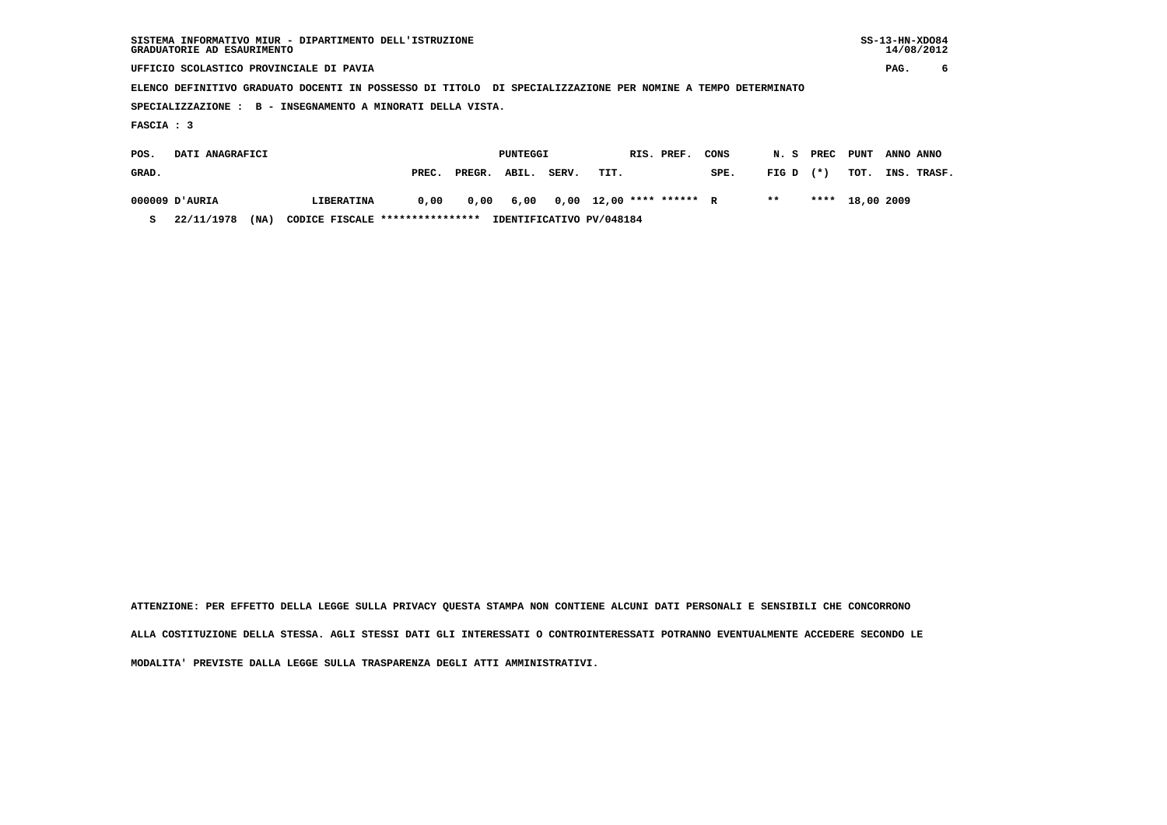| GRADUATORIE AD ESAURIMENTO | $SS-13-HN-XDO84$<br>SISTEMA INFORMATIVO MIUR - DIPARTIMENTO DELL'ISTRUZIONE<br>UFFICIO SCOLASTICO PROVINCIALE DI PAVIA<br>ELENCO DEFINITIVO GRADUATO DOCENTI IN POSSESSO DI TITOLO DI SPECIALIZZAZIONE PER NOMINE A TEMPO DETERMINATO<br>B - INSEGNAMENTO A MINORATI DELLA VISTA. |       |        |          |       |      |  |                   |      |       |       |            |           |             |
|----------------------------|-----------------------------------------------------------------------------------------------------------------------------------------------------------------------------------------------------------------------------------------------------------------------------------|-------|--------|----------|-------|------|--|-------------------|------|-------|-------|------------|-----------|-------------|
|                            |                                                                                                                                                                                                                                                                                   |       |        |          |       |      |  |                   |      |       |       |            | PAG.      | 6           |
|                            |                                                                                                                                                                                                                                                                                   |       |        |          |       |      |  |                   |      |       |       |            |           |             |
| SPECIALIZZAZIONE :         |                                                                                                                                                                                                                                                                                   |       |        |          |       |      |  |                   |      |       |       |            |           |             |
| FASCIA : 3                 |                                                                                                                                                                                                                                                                                   |       |        |          |       |      |  |                   |      |       |       |            |           |             |
| DATI ANAGRAFICI<br>POS.    |                                                                                                                                                                                                                                                                                   |       |        | PUNTEGGI |       |      |  | RIS. PREF.        | CONS | N. S  | PREC  | PUNT       | ANNO ANNO |             |
| GRAD.                      |                                                                                                                                                                                                                                                                                   | PREC. | PREGR. | ABIL.    | SERV. | TIT. |  |                   | SPE. | FIG D | $(*)$ | TOT.       |           | INS. TRASF. |
| AURIA וכ 000009            | LIBERATINA                                                                                                                                                                                                                                                                        | 0,00  | 0,00   | 6,00     | 0,00  |      |  | 12,00 **** ****** | R    | $* *$ | ****  | 18,00 2009 |           |             |

 **S 22/11/1978 (NA) CODICE FISCALE \*\*\*\*\*\*\*\*\*\*\*\*\*\*\*\* IDENTIFICATIVO PV/048184**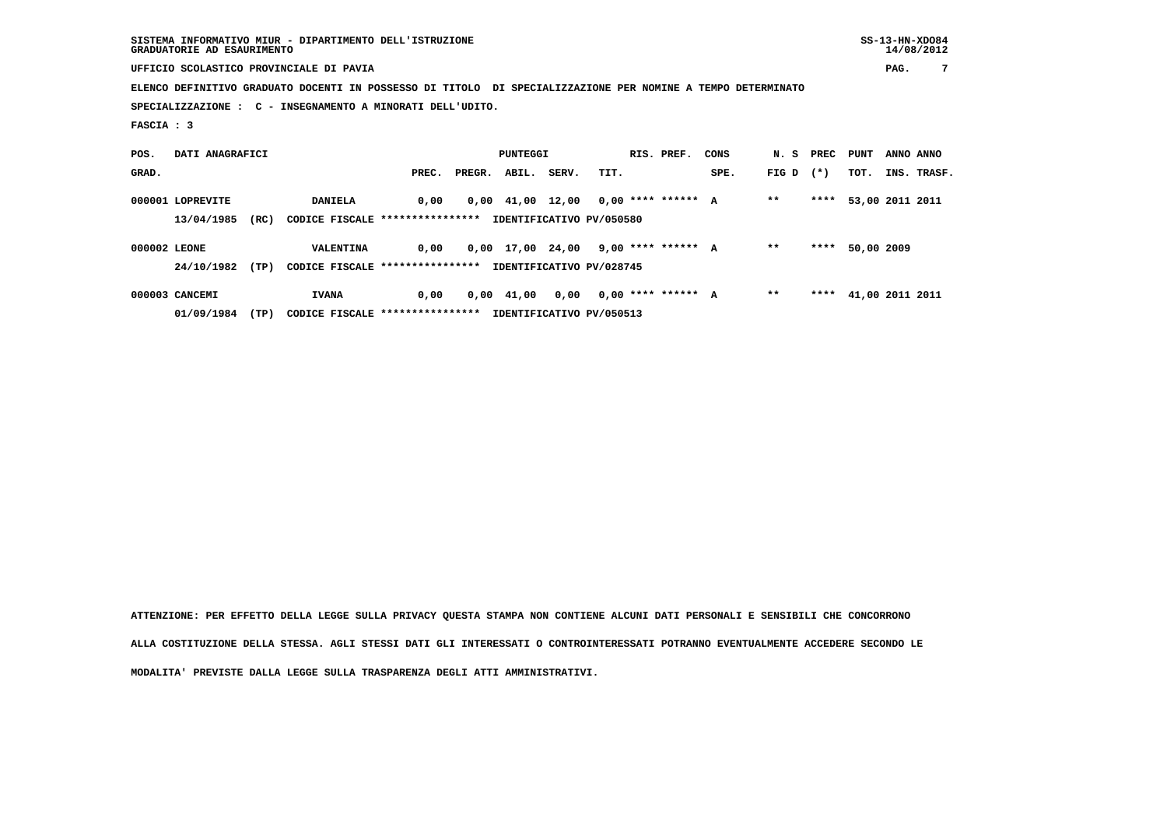| SISTEMA INFORMATIVO MIUR - DIPARTIMENTO DELL'ISTRUZIONE | $SS-13-HN-XDO84$ |
|---------------------------------------------------------|------------------|
| GRADUATORIE AD ESAURIMENTO                              | 14/08/2012       |

 **UFFICIO SCOLASTICO PROVINCIALE DI PAVIA PAG. 7**

 **ELENCO DEFINITIVO GRADUATO DOCENTI IN POSSESSO DI TITOLO DI SPECIALIZZAZIONE PER NOMINE A TEMPO DETERMINATO**

 **SPECIALIZZAZIONE : C - INSEGNAMENTO A MINORATI DELL'UDITO.**

 **FASCIA : 3**

| POS.         | DATI ANAGRAFICI  |      |                                  |       |        | PUNTEGGI                       |       |                          | RIS. PREF. | CONS | N.S PREC |        | PUNT            | ANNO ANNO |             |
|--------------|------------------|------|----------------------------------|-------|--------|--------------------------------|-------|--------------------------|------------|------|----------|--------|-----------------|-----------|-------------|
| GRAD.        |                  |      |                                  | PREC. | PREGR. | ABIL.                          | SERV. | TIT.                     |            | SPE. | FIG D    | $(* )$ | TOT.            |           | INS. TRASF. |
|              | 000001 LOPREVITE |      | <b>DANIELA</b>                   | 0.00  |        | $0,00 \quad 41,00 \quad 12,00$ |       | $0.00$ **** ****** A     |            |      | $* *$    | ****   | 53,00 2011 2011 |           |             |
|              | 13/04/1985       | (RC) | CODICE FISCALE ***************** |       |        |                                |       | IDENTIFICATIVO PV/050580 |            |      |          |        |                 |           |             |
| 000002 LEONE |                  |      | VALENTINA                        | 0.00  |        | 0,00 17,00 24,00               |       | 9,00 **** ****** A       |            |      | $* *$    | ****   | 50,00 2009      |           |             |
|              | 24/10/1982       | (TP) | CODICE FISCALE ****************  |       |        |                                |       | IDENTIFICATIVO PV/028745 |            |      |          |        |                 |           |             |
|              | 000003 CANCEMI   |      | <b>IVANA</b>                     | 0.00  |        | $0.00 \quad 41.00$             | 0,00  | $0.00$ **** ****** A     |            |      | $* *$    | ****   | 41,00 2011 2011 |           |             |
|              | 01/09/1984       | (TP) | CODICE FISCALE ****************  |       |        |                                |       | IDENTIFICATIVO PV/050513 |            |      |          |        |                 |           |             |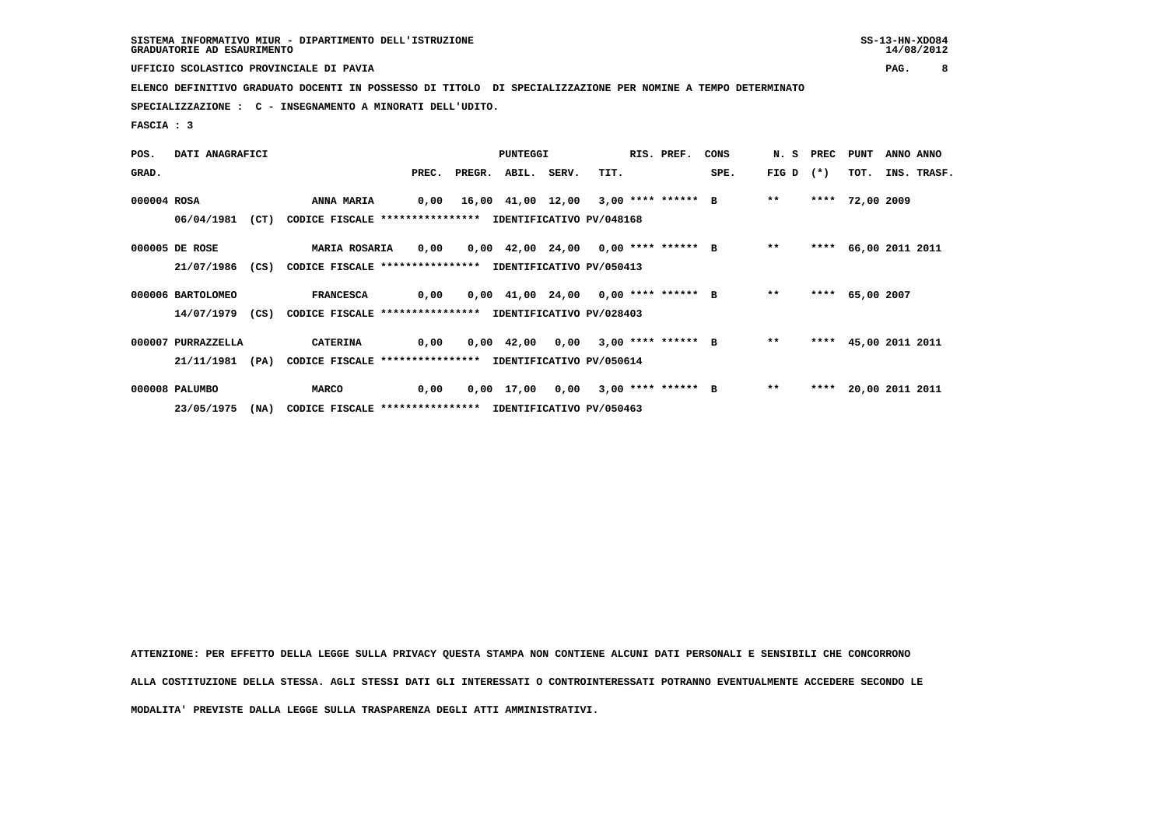**UFFICIO SCOLASTICO PROVINCIALE DI PAVIA PAG. 8**

 **ELENCO DEFINITIVO GRADUATO DOCENTI IN POSSESSO DI TITOLO DI SPECIALIZZAZIONE PER NOMINE A TEMPO DETERMINATO**

 **SPECIALIZZAZIONE : C - INSEGNAMENTO A MINORATI DELL'UDITO.**

 **FASCIA : 3**

| POS.        | DATI ANAGRAFICI    |      |                                                          |       |              | PUNTEGGI |       |                                      | RIS. PREF. | CONS |             | N. S PREC PUNT |                 | ANNO ANNO            |
|-------------|--------------------|------|----------------------------------------------------------|-------|--------------|----------|-------|--------------------------------------|------------|------|-------------|----------------|-----------------|----------------------|
| GRAD.       |                    |      |                                                          | PREC. | PREGR. ABIL. |          | SERV. | TIT.                                 |            | SPE. | FIG D $(*)$ |                | тот.            | INS. TRASF.          |
| 000004 ROSA |                    |      | <b>ANNA MARIA</b>                                        | 0,00  |              |          |       | 16,00 41,00 12,00 3,00 **** ****** B |            |      | $***$       |                | **** 72,00 2009 |                      |
|             | 06/04/1981         | (CT) | CODICE FISCALE **************** IDENTIFICATIVO PV/048168 |       |              |          |       |                                      |            |      |             |                |                 |                      |
|             | 000005 DE ROSE     |      | <b>MARIA ROSARIA</b>                                     | 0,00  |              |          |       | 0,00 42,00 24,00 0,00 **** ****** B  |            |      | $* *$       |                |                 | **** 66,00 2011 2011 |
|             | 21/07/1986 (CS)    |      | CODICE FISCALE **************** IDENTIFICATIVO PV/050413 |       |              |          |       |                                      |            |      |             |                |                 |                      |
|             | 000006 BARTOLOMEO  |      | <b>FRANCESCA</b>                                         | 0,00  |              |          |       | 0,00 41,00 24,00 0,00 **** ****** B  |            |      | $**$        |                | **** 65,00 2007 |                      |
|             | 14/07/1979 (CS)    |      | CODICE FISCALE **************** IDENTIFICATIVO PV/028403 |       |              |          |       |                                      |            |      |             |                |                 |                      |
|             | 000007 PURRAZZELLA |      | <b>CATERINA</b>                                          | 0,00  |              |          |       | $0,00$ 42,00 0,00 3,00 **** ****** B |            |      | $* *$       |                |                 | **** 45,00 2011 2011 |
|             | 21/11/1981         | (PA) | CODICE FISCALE **************** IDENTIFICATIVO PV/050614 |       |              |          |       |                                      |            |      |             |                |                 |                      |
|             | 000008 PALUMBO     |      | <b>MARCO</b>                                             | 0,00  |              |          |       | $0,00$ 17,00 0,00 3,00 **** ****** B |            |      | $* *$       |                |                 | **** 20,00 2011 2011 |
|             | 23/05/1975         | (NA) | CODICE FISCALE **************** IDENTIFICATIVO PV/050463 |       |              |          |       |                                      |            |      |             |                |                 |                      |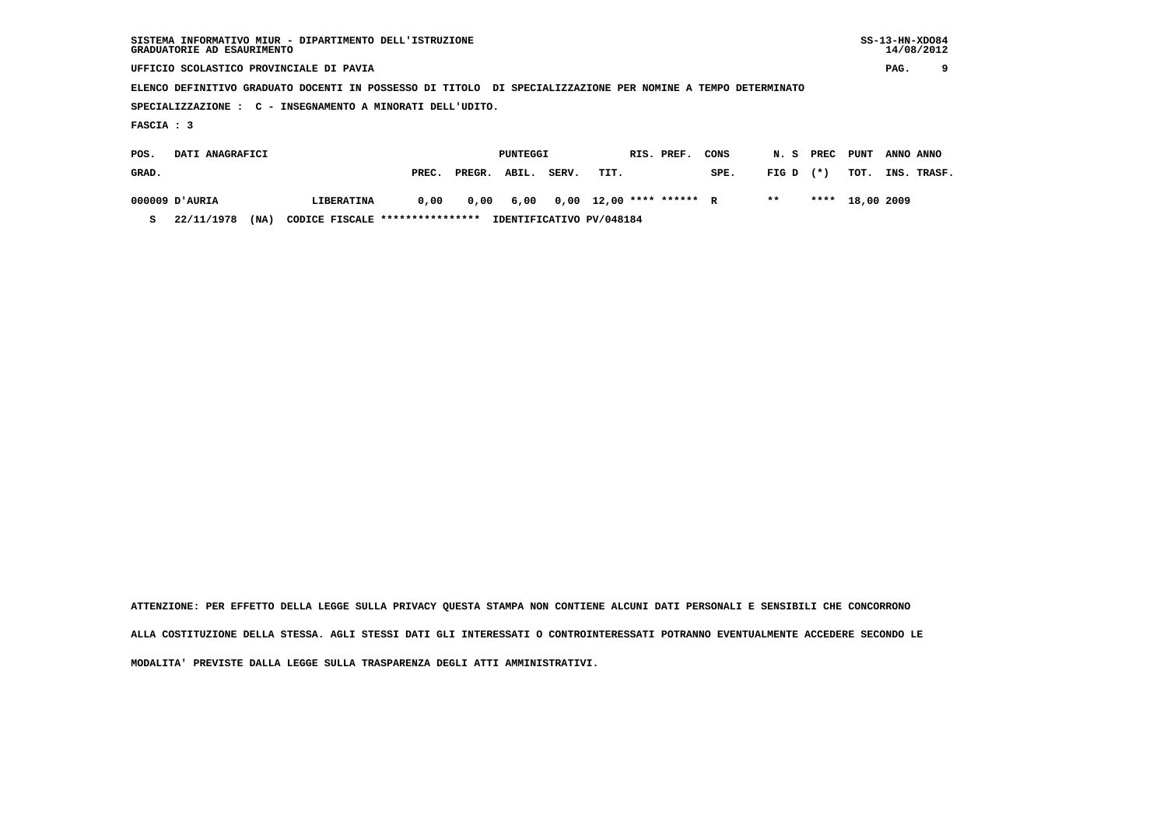| SISTEMA INFORMATIVO MIUR - DIPARTIMENTO DELL'ISTRUZIONE<br>GRADUATORIE AD ESAURIMENTO                       |            |       |        |          |       |      |  |                          |      |       |           |            |           | $SS-13-HN-XDO84$<br>14/08/2012 |
|-------------------------------------------------------------------------------------------------------------|------------|-------|--------|----------|-------|------|--|--------------------------|------|-------|-----------|------------|-----------|--------------------------------|
| UFFICIO SCOLASTICO PROVINCIALE DI PAVIA                                                                     |            |       |        |          |       |      |  |                          |      |       |           |            | PAG.      | 9                              |
| ELENCO DEFINITIVO GRADUATO DOCENTI IN POSSESSO DI TITOLO DI SPECIALIZZAZIONE PER NOMINE A TEMPO DETERMINATO |            |       |        |          |       |      |  |                          |      |       |           |            |           |                                |
| SPECIALIZZAZIONE : C - INSEGNAMENTO A MINORATI DELL'UDITO.                                                  |            |       |        |          |       |      |  |                          |      |       |           |            |           |                                |
| FASCIA : 3                                                                                                  |            |       |        |          |       |      |  |                          |      |       |           |            |           |                                |
| DATI ANAGRAFICI<br>POS.                                                                                     |            |       |        | PUNTEGGI |       |      |  | RIS. PREF.               | CONS | N.S   | PREC PUNT |            | ANNO ANNO |                                |
| GRAD.                                                                                                       |            | PREC. | PREGR. | ABIL.    | SERV. | TIT. |  |                          | SPE. | FIG D | $(*)$     | TOT.       | INS.      | TRASF.                         |
| AURIA וD'AURIA                                                                                              | LIBERATINA | 0,00  | 0,00   | 6,00     |       |      |  | $0,00$ 12,00 **** ****** | R    | $* *$ | ****      | 18,00 2009 |           |                                |

 **S 22/11/1978 (NA) CODICE FISCALE \*\*\*\*\*\*\*\*\*\*\*\*\*\*\*\* IDENTIFICATIVO PV/048184**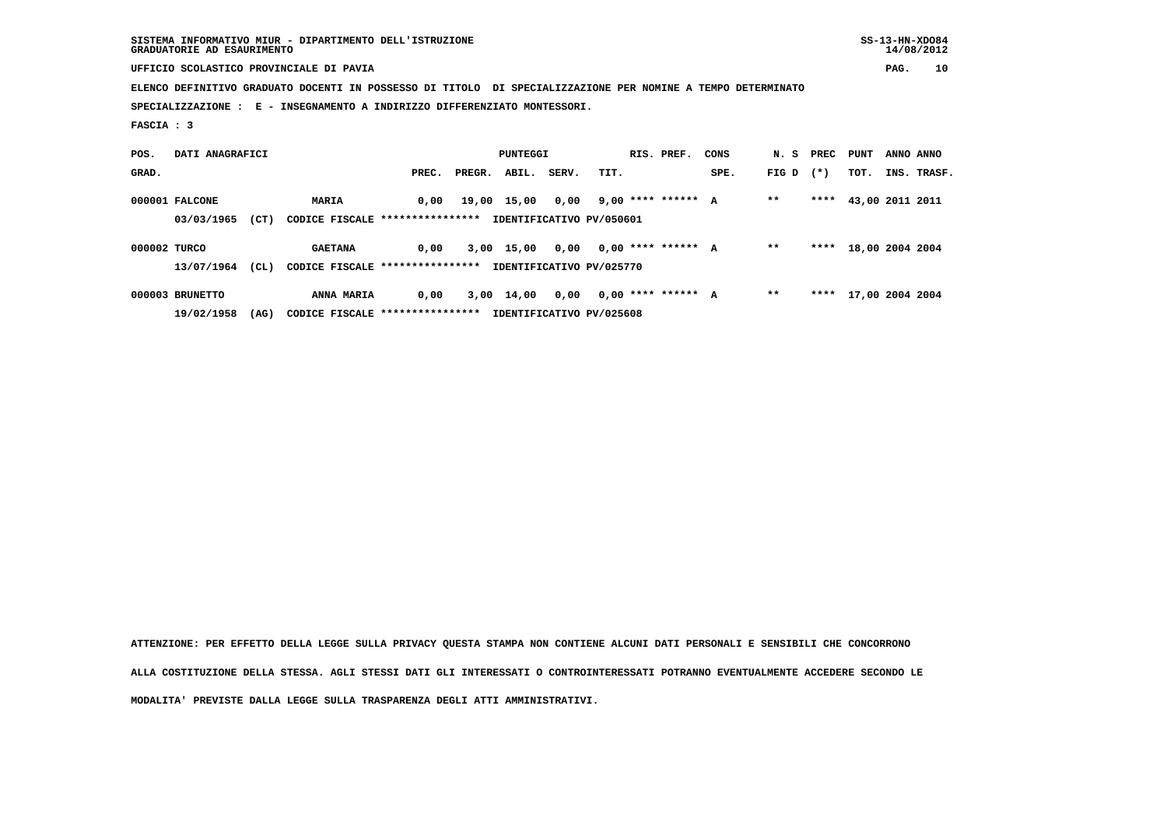**UFFICIO SCOLASTICO PROVINCIALE DI PAVIA PAG. 10**

 **ELENCO DEFINITIVO GRADUATO DOCENTI IN POSSESSO DI TITOLO DI SPECIALIZZAZIONE PER NOMINE A TEMPO DETERMINATO**

 **SPECIALIZZAZIONE : E - INSEGNAMENTO A INDIRIZZO DIFFERENZIATO MONTESSORI.**

 **FASCIA : 3**

| POS.         | DATI ANAGRAFICI |      |                                  |       | PUNTEGGI     |       |                          | RIS. PREF. | CONS |       | N. S PREC PUNT |                      | ANNO ANNO |             |
|--------------|-----------------|------|----------------------------------|-------|--------------|-------|--------------------------|------------|------|-------|----------------|----------------------|-----------|-------------|
| GRAD.        |                 |      |                                  | PREC. | PREGR. ABIL. | SERV. | TIT.                     |            | SPE. | FIG D | $(*)$          | TOT.                 |           | INS. TRASF. |
|              | 000001 FALCONE  |      | <b>MARIA</b>                     | 0.00  | 19,00 15,00  | 0,00  | 9,00 **** ****** A       |            |      | $* *$ | ****           | 43,00 2011 2011      |           |             |
|              | 03/03/1965      | (CT) | CODICE FISCALE ***************** |       |              |       | IDENTIFICATIVO PV/050601 |            |      |       |                |                      |           |             |
| 000002 TURCO |                 |      | <b>GAETANA</b>                   | 0.00  | 3,00 15,00   | 0.00  | $0.00$ **** ****** A     |            |      | $* *$ |                | **** 18,00 2004 2004 |           |             |
|              | 13/07/1964      | CL)  | CODICE FISCALE ****************  |       |              |       | IDENTIFICATIVO PV/025770 |            |      |       |                |                      |           |             |
|              | 000003 BRUNETTO |      | <b>ANNA MARIA</b>                | 0,00  | 3,00 14,00   | 0,00  | $0.00$ **** ****** A     |            |      | $* *$ |                | **** 17,00 2004 2004 |           |             |
|              | 19/02/1958      | (AG) | CODICE FISCALE ****************  |       |              |       | IDENTIFICATIVO PV/025608 |            |      |       |                |                      |           |             |